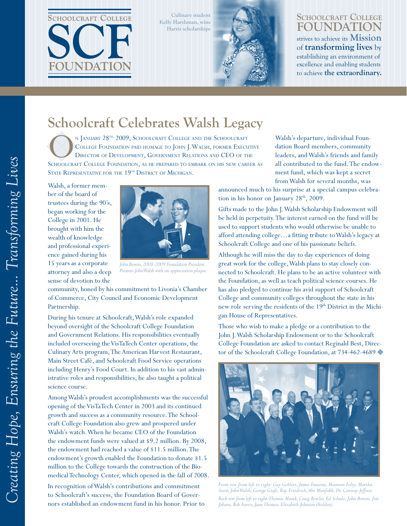

**Culinary student Kelly Harshman, wins Harris scholarships**



#### **Schoolcraft College Foundation** strives to achieve its **Mission** of **transforming lives** by establishing an environment of excellence and enabling students to achieve **the extraordinary.**

**Fall 2009**

# **Schoolcraft Celebrates Walsh Legacy**

N JANUARY 28<sup>th,</sup> 2009, SCHOOLCRAFT COLLEGE AND THE SCHOOLCRAFT<br>
COLLEGE FOUNDATION PAID HOMAGE TO JOHN J. WALSH, FORMER EXECUTIVE<br>
SCHOOLCRAFT COLLEGE FOUNDATION, AS HE PREPARED TO EMBARK ON HIS NEW CAREER A N JANUARY 28<sup>TH, 2009</sup>, SCHOOLCRAFT COLLEGE AND THE SCHOOLCRAFT College Foundation paid homage to John J. Walsh, former Executive Director of Development, Government Relations and CEO of the STATE REPRESENTATIVE FOR THE 19<sup>TH</sup> DISTRICT OF MICHIGAN.

Walsh, a former member of the board of trustees during the 90's, began working for the College in 2001. He brought with him the wealth of knowledge and professional experience gained during his 15 years as a corporate attorney and also a deep sense of devotion to the



*John Bowen, 2008-2009 Foundation President Presents John Walsh with an appreciation plaque.*

community, honed by his commitment to Livonia's Chamber of Commerce, City Council and Economic Development Partnership.

During his tenure at Schoolcraft, Walsh's role expanded beyond oversight of the Schoolcraft College Foundation and Government Relations. His responsibilities eventually included overseeing the VisTaTech Center operations, the Culinary Arts program, The American Harvest Restaurant, Main Street Café, and Schoolcraft Food Service operations including Henry's Food Court. In addition to his vast administrative roles and responsibilities, he also taught a political science course.

Among Walsh's proudest accomplishments was the successful opening of the VisTaTech Center in 2003 and its continued growth and success as a community resource. The Schoolcraft College Foundation also grew and prospered under Walsh's watch. When he became CEO of the Foundation the endowment funds were valued at \$9.2 million. By 2008, the endowment had reached a value of \$11.5 million. The endowment's growth enabled the Foundation to donate \$1.5 million to the College towards the construction of the Biomedical Technology Center, which opened in the fall of 2008.

In recognition of Walsh's contributions and commitment to Schoolcraft's success, the Foundation Board of Governors established an endowment fund in his honor. Prior to Walsh's departure, individual Foundation Board members, community leaders, and Walsh's friends and family all contributed to the fund. The endowment fund, which was kept a secret from Walsh for several months, was

announced much to his surprise at a special campus celebration in his honor on January  $28<sup>th</sup>$ , 2009.

Gifts made to the John J. Walsh Scholarship Endowment will be held in perpetuity. The interest earned on the fund will be used to support students who would otherwise be unable to afford attending college…a fitting tribute to Walsh's legacy at Schoolcraft College and one of his passionate beliefs.

Although he will miss the day to day experiences of doing great work for the college, Walsh plans to stay closely connected to Schoolcraft. He plans to be an active volunteer with the Foundation, as well as teach political science courses. He has also pledged to continue his avid support of Schoolcraft College and community colleges throughout the state in his new role serving the residents of the 19<sup>th</sup> District in the Michigan House of Representatives.

Those who wish to make a pledge or a contribution to the John J. Walsh Scholarship Endowment or to the Schoolcraft College Foundation are asked to contact Reginald Best, Director of the Schoolcraft College Foundation, at 734-462-4689



*Front row from left to right: Guy Gehlert, James Fausone, Maureen Foley, Martha Snow, John Walsh, George Grafe, Ray Friedrich, Abe Munfakh, Dr. Conway Jeffress Back row from left to right: Thomas Marek, Craig Bowles, Ed Schulz, John Bowen, Jim Jabara, Bob Farris, Jane Thomas, Elizabeth Johnson (hidden)*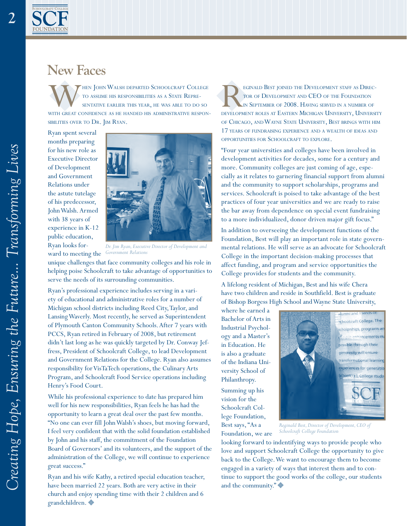#### **New Faces**

WHEN JOHN WALSH DEPARTED SCHOOLCRAFT COLLEGE TO ASSUME HIS RESPONSIBILITIES AS A STATE REPRESENTATIVE EARLIER THIS YEAR, HE WAS ABLE TO DO SO WITH GREAT CONFIDENCE AS HE HANDED HIS ADMINISTRATIVE RESPONto assume his responsibilities as a State Representative earlier this year, he was able to do so sibilities over to Dr. Jim Ryan.

Ryan spent several months preparing for his new role as Executive Director of Development and Government Relations under the astute tutelage of his predecessor, John Walsh. Armed with 38 years of experience in K-12 public education, Ryan looks for-

ward to meeting the



*Dr. Jim Ryan, Executive Director of Development and Government Relations*

unique challenges that face community colleges and his role in helping poise Schoolcraft to take advantage of opportunities to serve the needs of its surrounding communities.

Ryan's professional experience includes serving in a variety of educational and administrative roles for a number of Michigan school districts including Reed City, Taylor, and Lansing Waverly. Most recently, he served as Superintendent of Plymouth Canton Community Schools. After 7 years with PCCS, Ryan retired in February of 2008, but retirement didn't last long as he was quickly targeted by Dr. Conway Jeffress, President of Schoolcraft College, to lead Development and Government Relations for the College. Ryan also assumes responsibility for VisTaTech operations, the Culinary Arts Program, and Schoolcraft Food Service operations including Henry's Food Court.

While his professional experience to date has prepared him well for his new responsibilities, Ryan feels he has had the opportunity to learn a great deal over the past few months. "No one can ever fill John Walsh's shoes, but moving forward, I feel very confident that with the solid foundation established by John and his staff, the commitment of the Foundation Board of Governors' and its volunteers, and the support of the administration of the College, we will continue to experience great success."

Ryan and his wife Kathy, a retired special education teacher, have been married 22 years. Both are very active in their church and enjoy spending time with their 2 children and 6 grandchildren.

EGINALD BEST JOINED THE DEVELOPMENT STAFF AS DIRECTOR OF DEVELOPMENT AND CEO OF THE FOUNDATION IN SEPTEMBER OF 2008. HAVING SERVED IN A NUMBER OF DEVELOPMENT ROLES AT EASTERN MICHIGAN UNIVERSITY, UNIVERSITY tor of Development and CEO of the Foundation in September of 2008. Having served in <sup>a</sup> number of of Chicago, and Wayne State University, Best brings with him 17 years of fundraising experience and <sup>a</sup> wealth of ideas and opportunities for Schoolcraft to explore.

"Four year universities and colleges have been involved in development activities for decades, some for a century and more. Community colleges are just coming of age, especially as it relates to garnering financial support from alumni and the community to support scholarships, programs and services. Schoolcraft is poised to take advantage of the best practices of four year universities and we are ready to raise the bar away from dependence on special event fundraising to a more individualized, donor driven major gift focus."

In addition to overseeing the development functions of the Foundation, Best will play an important role in state governmental relations. He will serve as an advocate for Schoolcraft College in the important decision-making processes that affect funding, and program and service opportunities the College provides for students and the community.

A lifelong resident of Michigan, Best and his wife Chera have two children and reside in Southfield. Best is graduate of Bishop Borgess High School and Wayne State University,

where he earned a Bachelor of Arts in Industrial Psychology and a Master's in Education. He is also a graduate of the Indiana University School of Philanthropy.

Summing up his vision for the Schoolcraft College Foundation, Best says, "As a Foundation, we are



*Reginald Best, Director of Development, CEO of Schoolcraft College Foundation*

looking forward to indentifying ways to provide people who love and support Schoolcraft College the opportunity to give back to the College. We want to encourage them to become engaged in a variety of ways that interest them and to continue to support the good works of the college, our students and the community."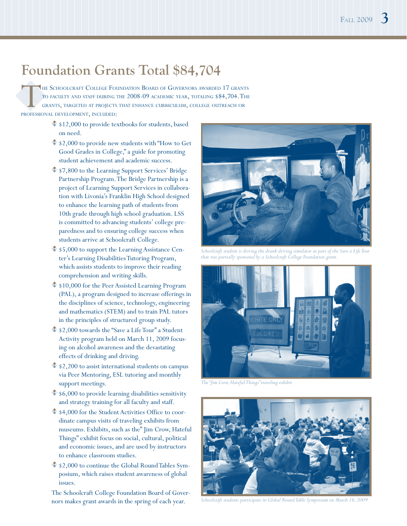## **Foundation Grants Total \$84,704**

THE SCHOOLCRAFT COLLEGE FOUNDATION BOARD OF GOVERNORS AWARDED 17 GRANT TO FACULTY AND STAFF DURING THE 2008-09 ACADEMIC YEAR, TOTALING \$84,704. THE GRANTS, TARGETED AT PROJECTS THAT ENHANCE CURRICULUM, COLLEGE OUTREACH OR to faculty and staff during the 2008-09 academic year, totaling \$84,704. The grants, targeted at projects that enhance curriculum, college outreach or professional development, included:

- $$12,000$  to provide textbooks for students, based on need.
- $$2,000$  to provide new students with "How to Get" Good Grades in College," a guide for promoting student achievement and academic success.
- $$7,800$  to the Learning Support Services' Bridge Partnership Program. The Bridge Partnership is a project of Learning Support Services in collaboration with Livonia's Franklin High School designed to enhance the learning path of students from 10th grade through high school graduation. LSS is committed to advancing students' college preparedness and to ensuring college success when students arrive at Schoolcraft College.
- $$5,000$  to support the Learning Assistance Center's Learning Disabilities Tutoring Program, which assists students to improve their reading comprehension and writing skills.
- $$10,000$  for the Peer Assisted Learning Program (PAL), a program designed to increase offerings in the disciplines of science, technology, engineering and mathematics (STEM) and to train PAL tutors in the principles of structured group study.
- $$2,000$  towards the "Save a Life Tour" a Student Activity program held on March 11, 2009 focusing on alcohol awareness and the devastating effects of drinking and driving.
- $\frac{2}{3}$  \$2,200 to assist international students on campus via Peer Mentoring, ESL tutoring and monthly support meetings.
- $$6,000$  to provide learning disabilities sensitivity and strategy training for all faculty and staff.
- $$4,000$  for the Student Activities Office to coordinate campus visits of traveling exhibits from museums. Exhibits, such as the" Jim Crow, Hateful Things" exhibit focus on social, cultural, political and economic issues, and are used by instructors to enhance classroom studies.
- $\sqrt{$}$  \$2,000 to continue the Global Round Tables Symposium, which raises student awareness of global issues.

The Schoolcraft College Foundation Board of Governors makes grant awards in the spring of each year. *Schoolcraft students participate in Global Round Table Symposium on March 16, 2009*



*Schoolcraft student is driving the drunk driving simulator as part of the Save a Life Tour that was partially sponsored by a Schoolcraft College Foundation grant.*



*The "Jim Crow, Hateful Things" traveling exhibit*

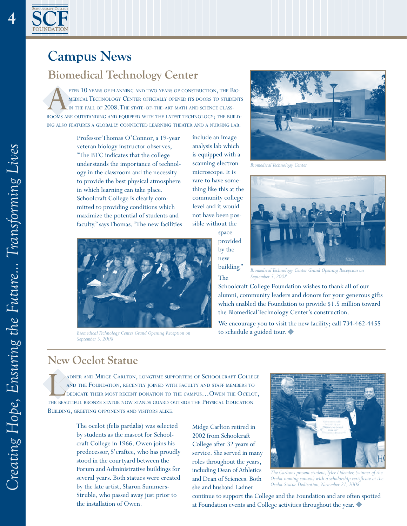

**4**

## **Campus News**

#### **Biomedical Technology Center**

FTER 10 YEARS OF PLANNING AND TWO YEARS OF CONSTRUCTION, THE BIOMEDICAL TECHNOLOGY CENTER OFFICIALLY OPENED ITS DOORS TO STUDENTS ROOMS ARE OUTSTANDING AND EQUIPPED WITH THE LATEST TECHNOLOGY; THE BUILDmedicalTechnology Center officially opened its doors to students in the fall of 2008. The state-of-the-art math and science classing also features <sup>a</sup> globally connected learning theater and <sup>a</sup> nursing lab.

> Professor Thomas O'Connor, a 19-year veteran biology instructor observes, "The BTC indicates that the college understands the importance of technology in the classroom and the necessity to provide the best physical atmosphere in which learning can take place. Schoolcraft College is clearly committed to providing conditions which maximize the potential of students and faculty." says Thomas. "The new facilities

include an image analysis lab which is equipped with a scanning electron microscope. It is rare to have something like this at the community college level and it would not have been possible without the



*Biomedical Technology Center Grand Opening Reception on September 5, 2008*



*Biomedical Technology Center*



*Biomedical Technology Center Grand Opening Reception on September 5, 2008*

Schoolcraft College Foundation wishes to thank all of our alumni, community leaders and donors for your generous gifts which enabled the Foundation to provide \$1.5 million toward the Biomedical Technology Center's construction.

We encourage you to visit the new facility; call 734-462-4455 to schedule a guided tour.

#### **New Ocelot Statue**

ADNER AND MIDGE CARLTON, LONGTIME SUPPORTERS OF SCHOOLCRAFT COLLEGE<br>AND THE FOUNDATION, RECENTLY JOINED WITH FACULTY AND STAFF MEMBERS TO<br>DEDICATE THEIR MOST RECENT DONATION TO THE CAMPUS...OWEN THE OCELOT,<br>THE BEAUTIFUL B and the Foundation, recently joined with faculty and staff members to dedicate their most recent donation to the campus…Owen the Ocelot, the beautiful bronze statue now stands guard outside the Physical Education Building, greeting opponents and visitors alike.

> The ocelot (felis pardalis) was selected by students as the mascot for Schoolcraft College in 1966. Owen joins his predecessor, S'craftee, who has proudly stood in the courtyard between the Forum and Administrative buildings for several years. Both statues were created by the late artist, Sharon Summers-Struble, who passed away just prior to the installation of Owen.

Midge Carlton retired in 2002 from Schoolcraft College after 32 years of service. She served in many roles throughout the years, including Dean of Athletics and Dean of Sciences. Both she and husband Ladner



*The Carltons present student, Tyler Lidemier, (winner of the Ocelot naming contest) with a scholarship certificate at the Ocelot Statue Dedication, November 21, 2008.* 

continue to support the College and the Foundation and are often spotted at Foundation events and College activities throughout the year.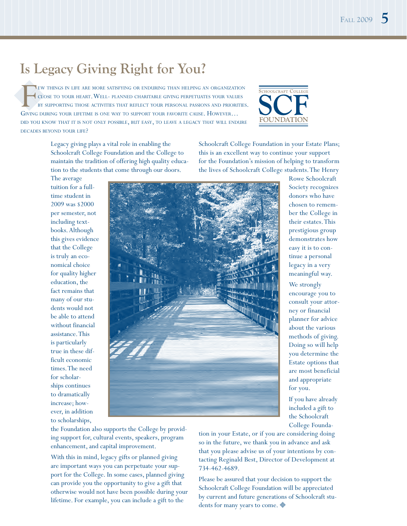## **Is Legacy Giving Right for You?**

FEW THINGS IN LIFE ARE MORE SATISFYING OR ENDURING THAN HELPING AN ORGANIZATICLOSE TO YOUR HEART. WELL- PLANNED CHARITABLE GIVING PERPETUATES YOUR VALUE BY SUPPORTING THOSE ACTIVITIES THAT REFLECT YOUR PERSONAL PASSIONS AN ew things in life are more satisfying or enduring than helping an organization close to your heart. Well- planned charitable giving perpetuates your values by supporting those activities that reflect your personal passions and priorities. did you know that it is not only possible, but easy, to leave <sup>a</sup> legacy that will endure decades beyond your life?



Legacy giving plays a vital role in enabling the Schoolcraft College Foundation and the College to maintain the tradition of offering high quality education to the students that come through our doors.

Schoolcraft College Foundation in your Estate Plans; this is an excellent way to continue your support for the Foundation's mission of helping to transform the lives of Schoolcraft College students. The Henry

The average tuition for a fulltime student in 2009 was \$2000 per semester, not including textbooks. Although this gives evidence that the College is truly an economical choice for quality higher education, the fact remains that many of our students would not be able to attend without financial assistance. This is particularly true in these difficult economic times. The need for scholarships continues to dramatically increase; however, in addition to scholarships,



Rowe Schoolcraft Society recognizes donors who have chosen to remember the College in their estates. This prestigious group demonstrates how easy it is to continue a personal legacy in a very meaningful way.

We strongly encourage you to consult your attorney or financial planner for advice about the various methods of giving. Doing so will help you determine the Estate options that are most beneficial and appropriate for you.

If you have already included a gift to the Schoolcraft College Founda-

the Foundation also supports the College by providing support for, cultural events, speakers, program enhancement, and capital improvement.

With this in mind, legacy gifts or planned giving are important ways you can perpetuate your support for the College. In some cases, planned giving can provide you the opportunity to give a gift that otherwise would not have been possible during your lifetime. For example, you can include a gift to the

tion in your Estate, or if you are considering doing so in the future, we thank you in advance and ask that you please advise us of your intentions by contacting Reginald Best, Director of Development at 734-462-4689.

Please be assured that your decision to support the Schoolcraft College Foundation will be appreciated by current and future generations of Schoolcraft students for many years to come.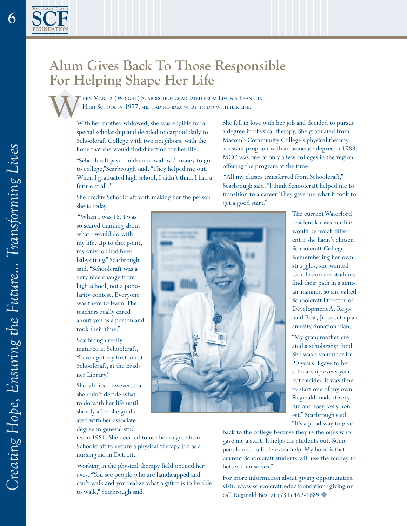#### **Alum Gives Back To Those Responsible For Helping Shape Her Life**

When Marcia (Wright) Scarbrough graduated from Livonia Franklin HIGH SCHOOL IN 1977, SHE HAD NO IDEA WHAT TO DO WITH HER LIFE.

With her mother widowed, she was eligible for a special scholarship and decided to carpool daily to Schoolcraft College with two neighbors, with the hope that she would find direction for her life.

"Schoolcraft gave children of widows' money to go to college,"Scarbrough said. "They helped me out. When I graduated high school, I didn't think I had a future at all."

She credits Schoolcraft with making her the person she is today.

 "When I was 18, I was so scared thinking about what I would do with my life. Up to that point, my only job had been babysitting." Scarbrough said. "Schoolcraft was a very nice change from high school, not a popularity contest. Everyone was there to learn. The teachers really cared about you as a person and took their time."

Scarbrough really matured at Schoolcraft, "I even got my first job at Schoolcraft, at the Bradner Library."

She admits, however, that she didn't decide what to do with her life until shortly after she graduated with her associate degree in general stud-

ies in 1981. She decided to use her degree from Schoolcraft to secure a physical therapy job as a nursing aid in Detroit.

Working in the physical therapy field opened her eyes. "You see people who are handicapped and can't walk and you realize what a gift it is to be able to walk," Scarbrough said.

She fell in love with her job and decided to pursue a degree in physical therapy. She graduated from Macomb Community College's physical therapy assistant program with an associate degree in 1988. MCC was one of only a few colleges in the region offering the program at the time.

 "All my classes transferred from Schoolcraft," Scarbrough said. "I think Schoolcraft helped me to transition to a career. They gave me what it took to get a good start."



The current Waterford resident knows her life would be much different if she hadn't chosen Schoolcraft College. Remembering her own struggles, she wanted to help current students find their path in a similar manner, so she called Schoolcraft Director of Development A. Reginald Best, Jr. to set up an annuity donation plan.

"My grandmother created a scholarship fund. She was a volunteer for 20 years. I gave to her scholarship every year, but decided it was time to start one of my own. Reginald made it very fun and easy, very honest," Scarbrough said. "It's a good way to give

back to the college because they're the ones who gave me a start. It helps the students out. Some people need a little extra help. My hope is that current Schoolcraft students will use the money to better themselves."

For more information about giving opportunities, visit: www.schoolcraft.edu/foundation/giving or call Reginald Best at (734) 462-4689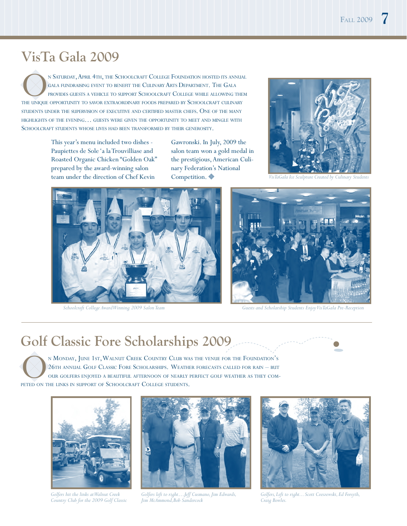## **VisTa Gala 2009**

N SATURDAY, APRIL 4TH, THE SCHOOLCRAFT COLLEGE FOUNDATION HOSTED ITS ANNUAL GALA PROVIDES GUESTS A VEHICLE TO SUPPORT SCHOOLCRAFT COLLEGE WHILE ALLOWING THEM THE UNIQUE OPPORTUNITY TO SAVOR EXTRAORDINARY FOODS PREPARED BY gala fundraising event to benefit the CulinaryArts Department. The Gala provides guests <sup>a</sup> vehicle to support Schoolcraft College while allowing them students under the supervision of executive and certified master chefs. One of the many highlights of the evening… guests were given the opportunity to meet and mingle with SCHOOLCRAFT STUDENTS WHOSE LIVES HAD BEEN TRANSFORMED BY THEIR GENEROSITY.

> This year's menu included two dishes - Paupiettes de Sole 'a la Trouvilliase and Roasted Organic Chicken "Golden Oak" prepared by the award-winning salon team under the direction of Chef Kevin

Gawronski. In July, 2009 the salon team won a gold medal in the prestigious, American Culinary Federation's National Competition.  $\blacklozenge$ 







*Schoolcraft College Award Winning 2009 Salon Team Guests and Scholarship Students Enjoy VisTaGala Pre-Reception*

#### **Golf Classic Fore Scholarships 2009**

N MONDAY, JUNE 1ST, WALNUT CREEK COUNTRY CLUB WAS THE VENUE FOR THE FOUNDATION' 26TH ANNUAL GOLF CLASSIC FORE SCHOLARSHIPS. WEATHER FORECASTS CALLED FOR RAIN — BU OUR GOLFERS ENJOYED A BEAUTIFUL AFTERNOON OF NEARLY PERFECT 26th annual Golf Classic Fore Scholarships. Weather forecasts called for rain – but our golfers enjoyed a beautiful afternoon of nearly perfect golf weather as they competed on the links in support of Schoolcraft College students.



*Golfers hit the links at Walnut Creek Country Club for the 2009 Golf Classic*



*Golfers left to right…Jeff Cusmano, Jim Edwards, Jim McAmmond,Bob Sandercock*



*Golfers, Left to right... Scott Czeszewski, Ed Forsyth, Craig Bowles.*